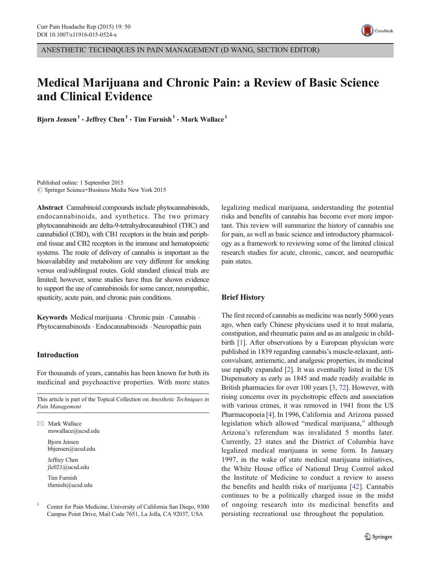

ANESTHETIC TECHNIQUES IN PAIN MANAGEMENT (D WANG, SECTION EDITOR)

# Medical Marijuana and Chronic Pain: a Review of Basic Science and Clinical Evidence

Bjorn Jensen<sup>1</sup> • Jeffrey Chen<sup>1</sup> • Tim Furnish<sup>1</sup> • Mark Wallace<sup>1</sup>

Published online: 1 September 2015  $\circ$  Springer Science+Business Media New York 2015

Abstract Cannabinoid compounds include phytocannabinoids, endocannabinoids, and synthetics. The two primary phytocannabinoids are delta-9-tetrahydrocannabinol (THC) and cannabidiol (CBD), with CB1 receptors in the brain and peripheral tissue and CB2 receptors in the immune and hematopoietic systems. The route of delivery of cannabis is important as the bioavailability and metabolism are very different for smoking versus oral/sublingual routes. Gold standard clinical trials are limited; however, some studies have thus far shown evidence to support the use of cannabinoids for some cancer, neuropathic, spasticity, acute pain, and chronic pain conditions.

Keywords Medical marijuana · Chronic pain · Cannabis · Phytocannabinoids . Endocannabinoids . Neuropathic pain

## Introduction

For thousands of years, cannabis has been known for both its medicinal and psychoactive properties. With more states

This article is part of the Topical Collection on Anesthetic Techniques in Pain Management

 $\boxtimes$  Mark Wallace mswallace@ucsd.edu Bjorn Jensen bbjensen@ucsd.edu

> Jeffrey Chen jlc021@ucsd.edu

Tim Furnish tfurnish@ucsd.edu

<sup>1</sup> Center for Pain Medicine, University of California San Diego, 9300 Campus Point Drive, Mail Code 7651, La Jolla, CA 92037, USA

legalizing medical marijuana, understanding the potential risks and benefits of cannabis has become ever more important. This review will summarize the history of cannabis use for pain, as well as basic science and introductory pharmacology as a framework to reviewing some of the limited clinical research studies for acute, chronic, cancer, and neuropathic pain states.

## Brief History

The first record of cannabis as medicine was nearly 5000 years ago, when early Chinese physicians used it to treat malaria, constipation, and rheumatic pains and as an analgesic in childbirth [\[1](#page-6-0)]. After observations by a European physician were published in 1839 regarding cannabis's muscle-relaxant, anticonvulsant, antiemetic, and analgesic properties, its medicinal use rapidly expanded [[2\]](#page-6-0). It was eventually listed in the US Dispensatory as early as 1845 and made readily available in British pharmacies for over 100 years [[3,](#page-6-0) [72](#page-8-0)]. However, with rising concerns over its psychotropic effects and association with various crimes, it was removed in 1941 from the US Pharmacopoeia [\[4\]](#page-6-0). In 1996, California and Arizona passed legislation which allowed "medical marijuana," although Arizona's referendum was invalidated 5 months later. Currently, 23 states and the District of Columbia have legalized medical marijuana in some form. In January 1997, in the wake of state medical marijuana initiatives, the White House office of National Drug Control asked the Institute of Medicine to conduct a review to assess the benefits and health risks of marijuana [[42\]](#page-7-0). Cannabis continues to be a politically charged issue in the midst of ongoing research into its medicinal benefits and persisting recreational use throughout the population.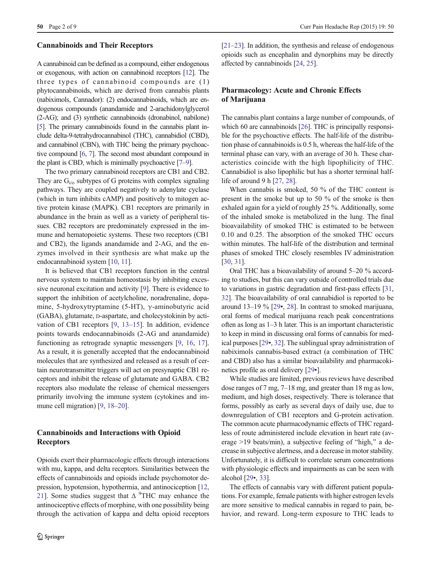#### Cannabinoids and Their Receptors

A cannabinoid can be defined as a compound, either endogenous or exogenous, with action on cannabinoid receptors [\[12](#page-6-0)]. The three types of cannabinoid compounds are (1) phytocannabinoids, which are derived from cannabis plants (nabiximols, Cannador): (2) endocannabinoids, which are endogenous compounds (anandamide and 2-arachidonylglycerol (2-AG); and (3) synthetic cannabinoids (dronabinol, nabilone) [\[5\]](#page-6-0). The primary cannabinoids found in the cannabis plant include delta-9-tetrahydrocannabinol (THC), cannabidiol (CBD), and cannabinol (CBN), with THC being the primary psychoactive compound [\[6,](#page-6-0) [7](#page-6-0)]. The second most abundant compound in the plant is CBD, which is minimally psychoactive [\[7](#page-6-0)–[9](#page-6-0)].

The two primary cannabinoid receptors are CB1 and CB2. They are  $G_i$ <sub>l</sub> subtypes of G proteins with complex signaling pathways. They are coupled negatively to adenylate cyclase (which in turn inhibits cAMP) and positively to mitogen active protein kinase (MAPK). CB1 receptors are primarily in abundance in the brain as well as a variety of peripheral tissues. CB2 receptors are predominately expressed in the immune and hematopoietic systems. These two receptors (CB1 and CB2), the ligands anandamide and 2-AG, and the enzymes involved in their synthesis are what make up the endocannabinoid system [[10](#page-6-0), [11\]](#page-6-0).

It is believed that CB1 receptors function in the central nervous system to maintain homeostasis by inhibiting excessive neuronal excitation and activity [\[9](#page-6-0)]. There is evidence to support the inhibition of acetylcholine, noradrenaline, dopamine, 5-hydroxytryptamine (5-HT),  $\gamma$ -aminobutyric acid (GABA), glutamate, D-aspartate, and cholecystokinin by activation of CB1 receptors [\[9](#page-6-0), [13](#page-6-0)–[15](#page-6-0)]. In addition, evidence points towards endocannabinoids (2-AG and anandamide) functioning as retrograde synaptic messengers [[9,](#page-6-0) [16](#page-6-0), [17](#page-6-0)]. As a result, it is generally accepted that the endocannabinoid molecules that are synthesized and released as a result of certain neurotransmitter triggers will act on presynaptic CB1 receptors and inhibit the release of glutamate and GABA. CB2 receptors also modulate the release of chemical messengers primarily involving the immune system (cytokines and im-mune cell migration) [\[9](#page-6-0), [18](#page-6-0)–[20\]](#page-6-0).

## Cannabinoids and Interactions with Opioid **Receptors**

Opioids exert their pharmacologic effects through interactions with mu, kappa, and delta receptors. Similarities between the effects of cannabinoids and opioids include psychomotor depression, hypotension, hypothermia, and antinociception [[12,](#page-6-0) [21](#page-6-0)]. Some studies suggest that  $\Delta$  <sup>9</sup>THC may enhance the antinociceptive effects of morphine, with one possibility being through the activation of kappa and delta opioid receptors [\[21](#page-6-0)–[23\]](#page-6-0). In addition, the synthesis and release of endogenous opioids such as encephalin and dynorphins may be directly affected by cannabinoids [\[24,](#page-6-0) [25\]](#page-6-0).

## Pharmacology: Acute and Chronic Effects of Marijuana

The cannabis plant contains a large number of compounds, of which 60 are cannabinoids [[26\]](#page-6-0). THC is principally responsible for the psychoactive effects. The half-life of the distribution phase of cannabinoids is 0.5 h, whereas the half-life of the terminal phase can vary, with an average of 30 h. These characteristics coincide with the high lipophilicity of THC. Cannabidiol is also lipophilic but has a shorter terminal halflife of around 9 h [\[27,](#page-6-0) [28\]](#page-6-0).

When cannabis is smoked, 50 % of the THC content is present in the smoke but up to 50 % of the smoke is then exhaled again for a yield of roughly 25 %. Additionally, some of the inhaled smoke is metabolized in the lung. The final bioavailability of smoked THC is estimated to be between 0.10 and 0.25. The absorption of the smoked THC occurs within minutes. The half-life of the distribution and terminal phases of smoked THC closely resembles IV administration [\[30](#page-6-0), [31\]](#page-6-0).

Oral THC has a bioavailability of around 5–20 % according to studies, but this can vary outside of controlled trials due to variations in gastric degradation and first-pass effects [\[31,](#page-6-0) [32\]](#page-6-0). The bioavailability of oral cannabidiol is reported to be around 13–19 % [[29](#page-6-0)•, [28](#page-6-0)]. In contrast to smoked marijuana, oral forms of medical marijuana reach peak concentrations often as long as 1–3 h later. This is an important characteristic to keep in mind in discussing oral forms of cannabis for medical purposes [\[29](#page-6-0)•, [32\]](#page-6-0). The sublingual spray administration of nabiximols cannabis-based extract (a combination of THC and CBD) also has a similar bioavailability and pharmacokinetics profile as oral delivery [\[29](#page-6-0)•].

While studies are limited, previous reviews have described dose ranges of 7 mg, 7–18 mg, and greater than 18 mg as low, medium, and high doses, respectively. There is tolerance that forms, possibly as early as several days of daily use, due to downregulation of CB1 receptors and G-protein activation. The common acute pharmacodynamic effects of THC regardless of route administered include elevation in heart rate (average  $>19$  beats/min), a subjective feeling of "high," a decrease in subjective alertness, and a decrease in motor stability. Unfortunately, it is difficult to correlate serum concentrations with physiologic effects and impairments as can be seen with alcohol [\[29](#page-6-0)•, [33](#page-6-0)].

The effects of cannabis vary with different patient populations. For example, female patients with higher estrogen levels are more sensitive to medical cannabis in regard to pain, behavior, and reward. Long-term exposure to THC leads to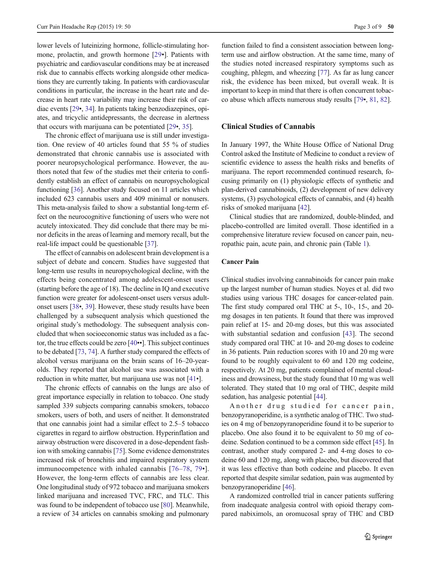lower levels of luteinizing hormone, follicle-stimulating hormone, prolactin, and growth hormone [\[29](#page-6-0)•]. Patients with psychiatric and cardiovascular conditions may be at increased risk due to cannabis effects working alongside other medications they are currently taking. In patients with cardiovascular conditions in particular, the increase in the heart rate and decrease in heart rate variability may increase their risk of cardiac events [[29](#page-6-0)•, [34](#page-7-0)]. In patients taking benzodiazepines, opiates, and tricyclic antidepressants, the decrease in alertness that occurs with marijuana can be potentiated [[29](#page-6-0)•, [35\]](#page-7-0).

The chronic effect of marijuana use is still under investigation. One review of 40 articles found that 55 % of studies demonstrated that chronic cannabis use is associated with poorer neuropsychological performance. However, the authors noted that few of the studies met their criteria to confidently establish an effect of cannabis on neuropsychological functioning [\[36](#page-7-0)]. Another study focused on 11 articles which included 623 cannabis users and 409 minimal or nonusers. This meta-analysis failed to show a substantial long-term effect on the neurocognitive functioning of users who were not acutely intoxicated. They did conclude that there may be minor deficits in the areas of learning and memory recall, but the real-life impact could be questionable [\[37](#page-7-0)].

The effect of cannabis on adolescent brain development is a subject of debate and concern. Studies have suggested that long-term use results in neuropsychological decline, with the effects being concentrated among adolescent-onset users (starting before the age of 18). The decline in IQ and executive function were greater for adolescent-onset users versus adultonset users [[38](#page-7-0)•, [39\]](#page-7-0). However, these study results have been challenged by a subsequent analysis which questioned the original study's methodology. The subsequent analysis concluded that when socioeconomic status was included as a factor, the true effects could be zero [[40](#page-7-0)••]. This subject continues to be debated [\[73,](#page-8-0) [74](#page-8-0)]. A further study compared the effects of alcohol versus marijuana on the brain scans of 16–20-yearolds. They reported that alcohol use was associated with a reduction in white matter, but marijuana use was not [[41](#page-7-0)•].

The chronic effects of cannabis on the lungs are also of great importance especially in relation to tobacco. One study sampled 339 subjects comparing cannabis smokers, tobacco smokers, users of both, and users of neither. It demonstrated that one cannabis joint had a similar effect to 2.5–5 tobacco cigarettes in regard to airflow obstruction. Hyperinflation and airway obstruction were discovered in a dose-dependent fashion with smoking cannabis [[75\]](#page-8-0). Some evidence demonstrates increased risk of bronchitis and impaired respiratory system immunocompetence with inhaled cannabis [[76](#page-8-0)–[78,](#page-8-0) [79](#page-8-0)•]. However, the long-term effects of cannabis are less clear. One longitudinal study of 972 tobacco and marijuana smokers linked marijuana and increased TVC, FRC, and TLC. This was found to be independent of tobacco use [\[80](#page-8-0)]. Meanwhile, a review of 34 articles on cannabis smoking and pulmonary

function failed to find a consistent association between longterm use and airflow obstruction. At the same time, many of the studies noted increased respiratory symptoms such as coughing, phlegm, and wheezing [\[77](#page-8-0)]. As far as lung cancer risk, the evidence has been mixed, but overall weak. It is important to keep in mind that there is often concurrent tobacco abuse which affects numerous study results [[79](#page-8-0)•, [81,](#page-8-0) [82\]](#page-8-0).

## Clinical Studies of Cannabis

In January 1997, the White House Office of National Drug Control asked the Institute of Medicine to conduct a review of scientific evidence to assess the health risks and benefits of marijuana. The report recommended continued research, focusing primarily on (1) physiologic effects of synthetic and plan-derived cannabinoids, (2) development of new delivery systems, (3) psychological effects of cannabis, and (4) health risks of smoked marijuana [\[42\]](#page-7-0).

Clinical studies that are randomized, double-blinded, and placebo-controlled are limited overall. Those identified in a comprehensive literature review focused on cancer pain, neuropathic pain, acute pain, and chronic pain (Table [1\)](#page-3-0).

#### Cancer Pain

Clinical studies involving cannabinoids for cancer pain make up the largest number of human studies. Noyes et al. did two studies using various THC dosages for cancer-related pain. The first study compared oral THC at 5-, 10-, 15-, and 20 mg dosages in ten patients. It found that there was improved pain relief at 15- and 20-mg doses, but this was associated with substantial sedation and confusion [\[43](#page-7-0)]. The second study compared oral THC at 10- and 20-mg doses to codeine in 36 patients. Pain reduction scores with 10 and 20 mg were found to be roughly equivalent to 60 and 120 mg codeine, respectively. At 20 mg, patients complained of mental cloudiness and drowsiness, but the study found that 10 mg was well tolerated. They stated that 10 mg oral of THC, despite mild sedation, has analgesic potential [\[44\]](#page-7-0).

Another drug studied for cancer pain, benzopyranoperidine, is a synthetic analog of THC. Two studies on 4 mg of benzopyranoperidine found it to be superior to placebo. One also found it to be equivalent to 50 mg of codeine. Sedation continued to be a common side effect [\[45](#page-7-0)]. In contrast, another study compared 2- and 4-mg doses to codeine 60 and 120 mg, along with placebo, but discovered that it was less effective than both codeine and placebo. It even reported that despite similar sedation, pain was augmented by benzopyranoperidine [[46](#page-7-0)].

A randomized controlled trial in cancer patients suffering from inadequate analgesia control with opioid therapy compared nabiximols, an oromucosal spray of THC and CBD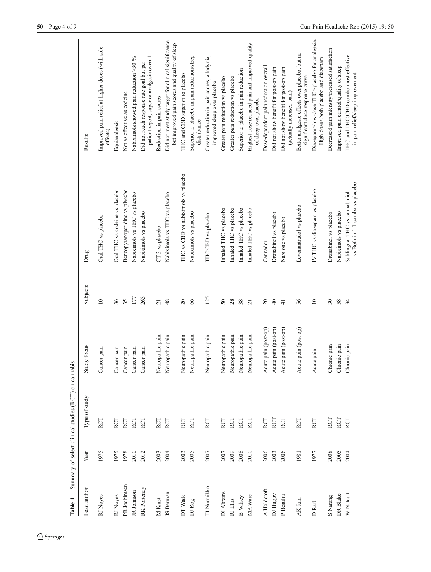<span id="page-3-0"></span>

| Table 1         |      | Summary of select clinical studies (RCT) on cannabis |                      |                 |                                                                  |                                                                                                              |
|-----------------|------|------------------------------------------------------|----------------------|-----------------|------------------------------------------------------------------|--------------------------------------------------------------------------------------------------------------|
| Lead author     | Year | Type of study                                        | Study focus          | Subjects        | Drug                                                             | Results                                                                                                      |
| RJ Noyes        | 1975 | RCT                                                  | Cancer pain          | $\supseteq$     | Oral THC vs placebo                                              | Improved pain relief at higher doses (with side<br>effects)                                                  |
| RJ Noyes        | 1975 | RCT                                                  | Cancer pain          | 36              | Oral THC vs codeine vs placebo                                   | Equianalgesic                                                                                                |
| PR Jochimsen    | 1978 | RCT                                                  | Cancer pain          | 35              | Benzopyranoperidine vs placebo                                   | Not as effective as codeine                                                                                  |
| JR Johnson      | 2010 | RCT                                                  | Cancer pain          | 177             | Nabiximols vs THC vs placebo                                     | Nabiximols showed pain reduction >30 %                                                                       |
| RK Portenoy     | 2012 | RCT                                                  | Cancer pain          | 263             | Nabiximols vs placebo                                            | patient report, superior analgesia overall<br>Did not reach response rate goal but per                       |
| M Karst         | 2003 | RCT                                                  | Neuropathic pain     | $\overline{21}$ | CT-3 vs placebo                                                  | Reduction in pain scores                                                                                     |
| IS Berman       | 2004 | RCT                                                  | Neuropathic pain     | 48              | Nabiximols vs THC vs placebo                                     | Did not meet study target for clinical significance,<br>but improved pain scores and quality of sleep        |
| DT Wade         | 2003 | RCT                                                  | Neuropathic pain     | $20\,$          | THC vs CBD vs nabiximols vs placebo                              | THC and CBD superior to placebo                                                                              |
| DJ Rog          | 2005 | RCT                                                  | Neuropathic pain     | 66              | Nabiximols vs placebo                                            | Superior to placebo in pain reduction/sleep<br>disturbance                                                   |
| TJ Numikko      | 2007 | RCT                                                  | Neuropathic pain     | 125             | THC:CBD vs placebo                                               | Greater reduction in pain scores, allodynia,<br>improved sleep over placebo                                  |
| DI Abrams       | 2007 | RCT                                                  | Neuropathic pain     | $\overline{50}$ | Inhaled THC vs placebo                                           | Greater pain reduction vs placebo                                                                            |
| RJ Ellis        | 2009 | RCT                                                  | Neuropathic pain     | $28\,$          | Inhaled THC vs placebo                                           | Greater pain reduction vs placebo                                                                            |
| <b>B</b> Wilsey | 2008 | RCT                                                  | Neuropathic pain     | 38              | Inhaled THC vs placebo                                           | Superior to placebo in pain reduction                                                                        |
| MA Ware         | 2010 | RCT                                                  | Neuropathic pain     | $\overline{21}$ | Inhaled THC vs placebo                                           | Highest dose reduced pain and improved quality<br>of sleep over placebo                                      |
| A Holdcroft     | 2006 | RCT                                                  | Acute pain (post-op) | $\Omega$        | Cannador                                                         | Dose-dependent pain reduction overall                                                                        |
| DJ Buggy        | 2003 | <b>RCT</b>                                           | Acute pain (post-op) | $\overline{4}$  | Dronabinol vs placebo                                            | Did not show benefit for post-op pain                                                                        |
| P Beauliu       | 2006 | RCT                                                  | Acute pain (post-op) | $\frac{1}{4}$   | Nabilone vs placebo                                              | Did not show benefit for post-op pain<br>(actually increased pain)                                           |
| AK Jain         | 1981 | RCT                                                  | Acute pain (post-op) | 56              | Levonantradol vs placebo                                         | Better analgesic effects over placebo, but no<br>significant dose-response curve                             |
| D Raft          | 1977 | RCT                                                  | pain<br>Acute        | $\equiv$        | IV THC vs diazepam vs placebo                                    | Diazepam>low-dose THC>placebo for analgesia.<br>High dose <both and="" diazepam<="" placebo="" td=""></both> |
| S Narang        | 2008 | RCT                                                  | Chronic pain         | $30\,$          | Dronabinol vs placebo                                            | Decreased pain intensity/increased satisfaction                                                              |
| DR Blake        | 2005 | RCT                                                  | Chronic pain         | 58              | Nabiximols vs placebo                                            | Improved pain control/quality of sleep                                                                       |
| W Notcutt       | 2004 | RCT                                                  | Chronic pain         | 34              | vs Both in 1:1 combo vs placebo<br>Sublingual THC vs cannabidiol | THC and THC:CBD combo most effective<br>in pain relief/sleep improvement                                     |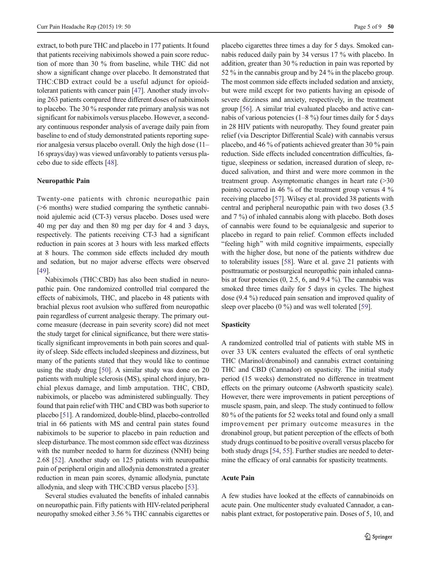extract, to both pure THC and placebo in 177 patients. It found that patients receiving nabiximols showed a pain score reduction of more than 30 % from baseline, while THC did not show a significant change over placebo. It demonstrated that THC:CBD extract could be a useful adjunct for opioidtolerant patients with cancer pain [\[47](#page-7-0)]. Another study involving 263 patients compared three different doses of nabiximols to placebo. The 30 % responder rate primary analysis was not significant for nabiximols versus placebo. However, a secondary continuous responder analysis of average daily pain from baseline to end of study demonstrated patients reporting superior analgesia versus placebo overall. Only the high dose (11– 16 sprays/day) was viewed unfavorably to patients versus placebo due to side effects [\[48](#page-7-0)].

#### Neuropathic Pain

Twenty-one patients with chronic neuropathic pain (>6 months) were studied comparing the synthetic cannabinoid ajulemic acid (CT-3) versus placebo. Doses used were 40 mg per day and then 80 mg per day for 4 and 3 days, respectively. The patients receiving CT-3 had a significant reduction in pain scores at 3 hours with less marked effects at 8 hours. The common side effects included dry mouth and sedation, but no major adverse effects were observed [\[49\]](#page-7-0).

Nabiximols (THC:CBD) has also been studied in neuropathic pain. One randomized controlled trial compared the effects of nabiximols, THC, and placebo in 48 patients with brachial plexus root avulsion who suffered from neuropathic pain regardless of current analgesic therapy. The primary outcome measure (decrease in pain severity score) did not meet the study target for clinical significance, but there were statistically significant improvements in both pain scores and quality of sleep. Side effects included sleepiness and dizziness, but many of the patients stated that they would like to continue using the study drug [\[50\]](#page-7-0). A similar study was done on 20 patients with multiple sclerosis (MS), spinal chord injury, brachial plexus damage, and limb amputation. THC, CBD, nabiximols, or placebo was administered sublingually. They found that pain relief with THC and CBD was both superior to placebo [\[51](#page-7-0)]. A randomized, double-blind, placebo-controlled trial in 66 patients with MS and central pain states found nabiximols to be superior to placebo in pain reduction and sleep disturbance. The most common side effect was dizziness with the number needed to harm for dizziness (NNH) being 2.68 [\[52](#page-7-0)]. Another study on 125 patients with neuropathic pain of peripheral origin and allodynia demonstrated a greater reduction in mean pain scores, dynamic allodynia, punctate allodynia, and sleep with THC:CBD versus placebo [\[53](#page-7-0)].

Several studies evaluated the benefits of inhaled cannabis on neuropathic pain. Fifty patients with HIV-related peripheral neuropathy smoked either 3.56 % THC cannabis cigarettes or placebo cigarettes three times a day for 5 days. Smoked cannabis reduced daily pain by 34 versus 17 % with placebo. In addition, greater than 30 % reduction in pain was reported by 52 % in the cannabis group and by 24 % in the placebo group. The most common side effects included sedation and anxiety, but were mild except for two patients having an episode of severe dizziness and anxiety, respectively, in the treatment group [\[56\]](#page-7-0). A similar trial evaluated placebo and active cannabis of various potencies (1–8 %) four times daily for 5 days in 28 HIV patients with neuropathy. They found greater pain relief (via Descriptor Differential Scale) with cannabis versus placebo, and 46 % of patients achieved greater than 30 % pain reduction. Side effects included concentration difficulties, fatigue, sleepiness or sedation, increased duration of sleep, reduced salivation, and thirst and were more common in the treatment group. Asymptomatic changes in heart rate (>30 points) occurred in 46 % of the treatment group versus 4 % receiving placebo [\[57](#page-7-0)]. Wilsey et al. provided 38 patients with central and peripheral neuropathic pain with two doses (3.5 and 7 %) of inhaled cannabis along with placebo. Both doses of cannabis were found to be equianalgesic and superior to placebo in regard to pain relief. Common effects included "feeling high" with mild cognitive impairments, especially with the higher dose, but none of the patients withdrew due to tolerability issues [\[58](#page-7-0)]. Ware et al. gave 21 patients with posttraumatic or postsurgical neuropathic pain inhaled cannabis at four potencies (0, 2.5, 6, and 9.4 %). The cannabis was smoked three times daily for 5 days in cycles. The highest dose (9.4 %) reduced pain sensation and improved quality of sleep over placebo (0 %) and was well tolerated [\[59\]](#page-7-0).

### Spasticity

A randomized controlled trial of patients with stable MS in over 33 UK centers evaluated the effects of oral synthetic THC (Marinol/dronabinol) and cannabis extract containing THC and CBD (Cannador) on spasticity. The initial study period (15 weeks) demonstrated no difference in treatment effects on the primary outcome (Ashworth spasticity scale). However, there were improvements in patient perceptions of muscle spasm, pain, and sleep. The study continued to follow 80 % of the patients for 52 weeks total and found only a small improvement per primary outcome measures in the dronabinol group, but patient perception of the effects of both study drugs continued to be positive overall versus placebo for both study drugs [\[54](#page-7-0), [55\]](#page-7-0). Further studies are needed to determine the efficacy of oral cannabis for spasticity treatments.

#### Acute Pain

A few studies have looked at the effects of cannabinoids on acute pain. One multicenter study evaluated Cannador, a cannabis plant extract, for postoperative pain. Doses of 5, 10, and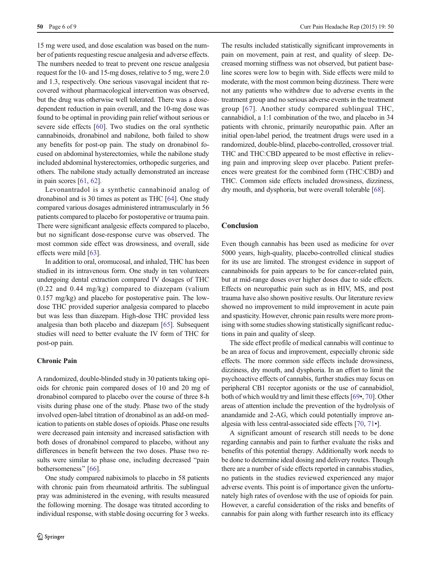15 mg were used, and dose escalation was based on the number of patients requesting rescue analgesia and adverse effects. The numbers needed to treat to prevent one rescue analgesia request for the 10- and 15-mg doses, relative to 5 mg, were 2.0 and 1.3, respectively. One serious vasovagal incident that recovered without pharmacological intervention was observed, but the drug was otherwise well tolerated. There was a dosedependent reduction in pain overall, and the 10-mg dose was found to be optimal in providing pain relief without serious or severe side effects [[60\]](#page-7-0). Two studies on the oral synthetic cannabinoids, dronabinol and nabilone, both failed to show any benefits for post-op pain. The study on dronabinol focused on abdominal hysterectomies, while the nabilone study included abdominal hysterectomies, orthopedic surgeries, and others. The nabilone study actually demonstrated an increase in pain scores [\[61](#page-7-0), [62](#page-7-0)].

Levonantradol is a synthetic cannabinoid analog of dronabinol and is 30 times as potent as THC [\[64\]](#page-7-0). One study compared various dosages administered intramuscularly in 56 patients compared to placebo for postoperative or trauma pain. There were significant analgesic effects compared to placebo, but no significant dose-response curve was observed. The most common side effect was drowsiness, and overall, side effects were mild [\[63\]](#page-7-0).

In addition to oral, oromucosal, and inhaled, THC has been studied in its intravenous form. One study in ten volunteers undergoing dental extraction compared IV dosages of THC (0.22 and 0.44 mg/kg) compared to diazepam (valium 0.157 mg/kg) and placebo for postoperative pain. The lowdose THC provided superior analgesia compared to placebo but was less than diazepam. High-dose THC provided less analgesia than both placebo and diazepam [[65](#page-7-0)]. Subsequent studies will need to better evaluate the IV form of THC for post-op pain.

#### Chronic Pain

A randomized, double-blinded study in 30 patients taking opioids for chronic pain compared doses of 10 and 20 mg of dronabinol compared to placebo over the course of three 8-h visits during phase one of the study. Phase two of the study involved open-label titration of dronabinol as an add-on medication to patients on stable doses of opioids. Phase one results were decreased pain intensity and increased satisfaction with both doses of dronabinol compared to placebo, without any differences in benefit between the two doses. Phase two results were similar to phase one, including decreased "pain bothersomeness" [[66](#page-7-0)].

One study compared nabiximols to placebo in 58 patients with chronic pain from rheumatoid arthritis. The sublingual pray was administered in the evening, with results measured the following morning. The dosage was titrated according to individual response, with stable dosing occurring for 3 weeks.

The results included statistically significant improvements in pain on movement, pain at rest, and quality of sleep. Decreased morning stiffness was not observed, but patient baseline scores were low to begin with. Side effects were mild to moderate, with the most common being dizziness. There were not any patients who withdrew due to adverse events in the treatment group and no serious adverse events in the treatment group [[67](#page-7-0)]. Another study compared sublingual THC, cannabidiol, a 1:1 combination of the two, and placebo in 34 patients with chronic, primarily neuropathic pain. After an initial open-label period, the treatment drugs were used in a randomized, double-blind, placebo-controlled, crossover trial. THC and THC:CBD appeared to be most effective in relieving pain and improving sleep over placebo. Patient preferences were greatest for the combined form (THC:CBD) and THC. Common side effects included drowsiness, dizziness, dry mouth, and dysphoria, but were overall tolerable [[68\]](#page-7-0).

## **Conclusion**

Even though cannabis has been used as medicine for over 5000 years, high-quality, placebo-controlled clinical studies for its use are limited. The strongest evidence in support of cannabinoids for pain appears to be for cancer-related pain, but at mid-range doses over higher doses due to side effects. Effects on neuropathic pain such as in HIV, MS, and post trauma have also shown positive results. Our literature review showed no improvement to mild improvement in acute pain and spasticity. However, chronic pain results were more promising with some studies showing statistically significant reductions in pain and quality of sleep.

The side effect profile of medical cannabis will continue to be an area of focus and improvement, especially chronic side effects. The more common side effects include drowsiness, dizziness, dry mouth, and dysphoria. In an effort to limit the psychoactive effects of cannabis, further studies may focus on peripheral CB1 receptor agonists or the use of cannabidiol, both of which would try and limit these effects [[69](#page-7-0)•, [70\]](#page-8-0). Other areas of attention include the prevention of the hydrolysis of anandamide and 2-AG, which could potentially improve analgesia with less central-associated side effects [\[70,](#page-8-0) [71](#page-8-0)•].

A significant amount of research still needs to be done regarding cannabis and pain to further evaluate the risks and benefits of this potential therapy. Additionally work needs to be done to determine ideal dosing and delivery routes. Though there are a number of side effects reported in cannabis studies, no patients in the studies reviewed experienced any major adverse events. This point is of importance given the unfortunately high rates of overdose with the use of opioids for pain. However, a careful consideration of the risks and benefits of cannabis for pain along with further research into its efficacy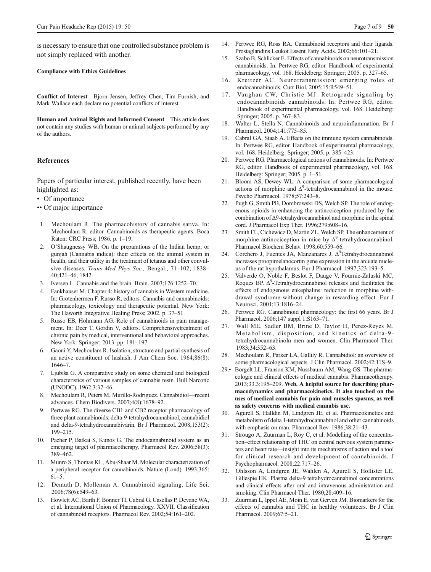<span id="page-6-0"></span>is necessary to ensure that one controlled substance problem is not simply replaced with another.

#### Compliance with Ethics Guidelines

Conflict of Interest Bjorn Jensen, Jeffrey Chen, Tim Furnish, and Mark Wallace each declare no potential conflicts of interest.

Human and Animal Rights and Informed Consent This article does not contain any studies with human or animal subjects performed by any of the authors.

#### **References**

Papers of particular interest, published recently, have been highlighted as:

- Of importance
- •• Of major importance
- 1. Mechoulam R. The pharmacohistory of cannabis sativa. In: Mechoulam R, editor. Cannabinoids as therapeutic agents. Boca Raton: CRC Press; 1986. p. 1–19.
- 2. O'Shaugnessy WB. On the preparations of the Indian hemp, or gunjah (Cannabis indica): their effects on the animal system in health, and their utility in the treatment of tetanus and other convulsive diseases. Trans Med Phys Soc., Bengal., 71–102, 1838– 40;421–46, 1842.
- 3. Iversen L. Cannabis and the brain. Brain. 2003;126:1252–70.
- 4. Fankhauser M. Chapter 4: history of cannabis in Western medicine. In: Grotenhermen F, Russo R, editors. Cannabis and cannabinoids: pharmacology, toxicology and therapeutic potential. New York: The Haworth Integrative Healing Press; 2002. p. 37–51.
- 5. Russo EB, Hohmann AG. Role of cannabinoids in pain management. In: Deer T, Gordin V, editors. Comprehensivetreatment of chronic pain by medical, interventional and behavioral approaches. New York: Springer; 2013. pp. 181–197.
- 6. Gaoni Y, Mechoulam R. Isolation, structure and partial synthesis of an active constituent of hashish. J Am Chem Soc. 1964;86(8): 1646–7.
- 7. Ljubiša G. A comparative study on some chemical and biological characteristics of various samples of cannabis resin. Bull Narcotic (UNODC). 1962;3:37–46.
- 8. Mechoulam R, Peters M, Murillo-Rodriguez. Cannabidiol—recent advances. Chem Biodivers. 2007;4(8):1678–92.
- 9. Pertwee RG. The diverse CB1 and CB2 receptor pharmacology of three plant cannabinoids: delta-9-tetrahydrocannabinol, cannabidiol and delta-9-tetrahydrocannabivarin. Br J Pharmacol. 2008;153(2): 199–215.
- 10. Pacher P, Batkai S, Kunos G. The endocannabinoid system as an emerging target of pharmacotherapy. Pharmacol Rev. 2006;58(3): 389–462.
- 11. Munro S, Thomas KL, Abu-Shaar M. Molecular characterization of a peripheral receptor for cannabinoids. Nature (Lond). 1993;365: 61–5.
- 12. Demuth D, Molleman A. Cannabinoid signaling. Life Sci. 2006;78(6):549–63.
- 13. Howlett AC, Barth F, Bonner TI, Cabral G, Casellas P, Devane WA, et al. International Union of Pharmacology. XXVII. Classification of cannabinoid receptors. Pharmacol Rev. 2002;54:161–202.
- 14. Pertwee RG, Ross RA. Cannabinoid receptors and their ligands. Prostaglandins Leukot Essent Fatty Acids. 2002;66:101–21.
- 15. Szabo B, Schlicker E. Effects of cannabinoids on neurotransmission cannabinoids. In: Pertwee RG, editor. Handbook of experimental pharmacology, vol. 168. Heidelberg: Springer; 2005. p. 327–65.
- 16. Kreitzer AC. Neurotransmission: emerging roles of endocannabinoids. Curr Biol. 2005;15:R549–51.
- 17. Vaughan CW, Christie MJ. Retrograde signaling by endocannabinoids cannabinoids. In: Pertwee RG, editor. Handbook of experimental pharmacology, vol. 168. Heidelberg: Springer; 2005. p. 367–83.
- 18. Walter L, Stella N. Cannabinoids and neuroinflammation. Br J Pharmacol. 2004;141:775–85.
- 19. Cabral GA, Staab A. Effects on the immune system cannabinoids. In: Pertwee RG, editor. Handbook of experimental pharmacology, vol. 168. Heidelberg: Springer; 2005. p. 385–423.
- 20. Pertwee RG. Pharmacological actions of cannabinoids. In: Pertwee RG, editor. Handbook of experimental pharmacology, vol. 168. Heidelberg: Springer; 2005. p. 1–51.
- 21. Bloom AS, Dewey WL. A comparison of some pharmacological actions of morphine and  $\Delta^9$ -tetrahydrocannabinol in the mouse. Psycho Pharmacol. 1978;57:243–8.
- 22. Pugh G, Smith PB, Dombrowski DS, Welch SP. The role of endogenous opioids in enhancing the antinociception produced by the combination of Δ9-tetrahydrocannabinol and morphine in the spinal cord. J Pharmacol Exp Ther. 1996;279:608–16.
- 23. Smith FL, Cichewicz D, Martin ZL, Welch SP. The enhancement of morphine antinociception in mice by  $\Delta^9$ -tetrahydrocannabinol. Pharmacol Biochem Behav. 1998;60:559–66.
- 24. Corchero J, Fuentes JA, Manzanares J.  $\Delta^9$ Tetrahydrocannabinol increases proopimelanocortin gene expression in the arcuate nucleus of the rat hypothalamus. Eur J Pharmacol. 1997;323:193–5.
- 25. Valverde O, Noble F, Beslot F, Dauge V, Fournie-Zaluski MC, Roques BP.  $\Delta^9$ -Tetrahydrocannabinol releases and facilitates the effects of endogenous enkephalins: reduction in morphine withdrawal syndrome without change in rewarding effect. Eur J Neurosci. 2001;13:1816–24.
- 26. Pertwee RG. Cannabinoid pharmacology: the first 66 years. Br J Pharmacol. 2006;147 suppl 1:S163–71.
- 27. Wall ME, Sadler BM, Brine D, Taylor H, Perez-Reyes M. Metabolism, disposition, and kinetics of delta-9 tetrahydrocannabinoln men and women. Clin Pharmacol Ther. 1983;34:352–63.
- 28. Mechoulam R, Parker LA, Gallily R. Cannabidiol: an overview of some pharmacological aspects. J Clin Pharmacol. 2002;42:11S–9.
- 29.• Borgelt LL, Franson KM, Nussbaum AM, Wang GS. The pharmacologic and clinical effects of medical cannabis. Pharmacotherapy. 2013;33.3:195–209. Web. A helpful source for describing pharmacodynamics and pharmacokinetics. It also touched on the uses of medical cannabis for pain and muscles spasms, as well as safety concerns with medical cannabis use.
- 30. Agurell S, Halldin M, Lindgren JE, et al. Pharmacokinetics and metabolism of delta 1-tetrahydrocannabinol and other cannabinoids with emphasis on man. Pharmacol Rev. 1986;38:21–43.
- 31. Strougo A, Zuurman L, Roy C, et al. Modelling of the concentration–effect relationship of THC on central nervous system parameters and heart rate—insight into its mechanisms of action and a tool for clinical research and development of cannabinoids. J Psychopharmacol. 2008;22:717–26.
- 32. Ohlsson A, Lindgren JE, Wahlen A, Agurell S, Hollister LE, Gillespie HK. Plasma delta-9 tetrahydrocannabinol concentrations and clinical effects after oral and intravenous administration and smoking. Clin Pharmacol Ther. 1980;28:409–16.
- 33. Zuurman L, Ippel AE, Moin E, van Gerven JM. Biomarkers for the effects of cannabis and THC in healthy volunteers. Br J Clin Pharmacol. 2009;67:5–21.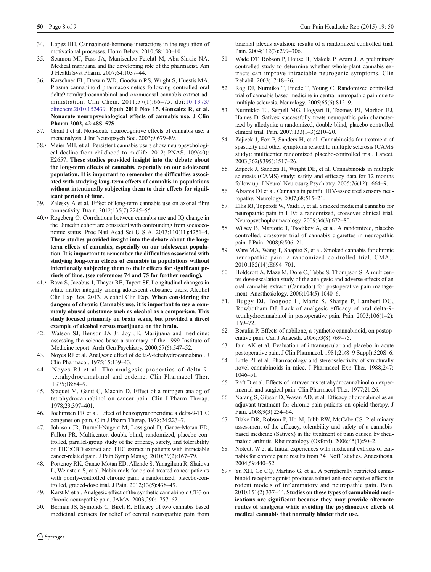- <span id="page-7-0"></span>34. Lopez HH. Cannabinoid-hormone interactions in the regulation of motivational processes. Horm Behav. 2010;58:100–10.
- 35. Seamon MJ, Fass JA, Maniscalco-Feichtl M, Abu-Shraie NA. Medical marijuana and the developing role of the pharmacist. Am J Health Syst Pharm. 2007;64:1037–44.
- 36. Karschner EL, Darwin WD, Goodwin RS, Wright S, Huestis MA. Plasma cannabinoid pharmacokinetics following controlled oral delta9-tetrahydrocannabinol and oromucosal cannabis extract administration. Clin Chem. 2011;57(1):66–75. doi:[10.1373/](http://dx.doi.org/10.1373/clinchem.2010.152439) [clinchem.2010.152439.](http://dx.doi.org/10.1373/clinchem.2010.152439) Epub 2010 Nov 15. Gonzalez R, et al. Nonacute neuropsychological effects of cannabis use. J Clin Pharm 2002, 42:48S–57S.
- 37. Grant I et al. Non-acute neurocognitive effects of cannabis use: a metaanalysis. J Int Neuropsych Soc. 2003;9:679–89.
- 38.• Meier MH, et al. Persistent cannabis users show neuropsychological decline from childhood to midlife. 2012; PNAS. 109(40): E2657. These studies provided insight into the debate about the long-term effects of cannabis, especially on our adolescent population. It is important to remember the difficulties associated with studying long-term effects of cannabis in populations without intentionally subjecting them to their effects for significant periods of time.
- 39. Zalesky A et al. Effect of long-term cannabis use on axonal fibre connectivity. Brain. 2012;135(7):2245–55.
- 40.•• Rogeberg O. Correlations between cannabis use and IQ change in the Dunedin cohort are consistent with confounding from socioeconomic status. Proc Natl Acad Sci U S A. 2013;110(11):4251–4. These studies provided insight into the debate about the longterm effects of cannabis, especially on our adolescent population. It is important to remember the difficulties associated with studying long-term effects of cannabis in populations without intentionally subjecting them to their effects for significant periods of time. (see references 74 and 75 for further reading).
- 41.• Bava S, Jacobus J, Thayer RE, Tapert SF. Longitudinal changes in white matter integrity among adolescent substance users. Alcohol Clin Exp Res. 2013. Alcohol Clin Exp. When considering the dangers of chronic Cannabis use, it is important to use a commonly abused substance such as alcohol as a comparison. This study focused primarily on brain scans, but provided a direct example of alcohol versus marijuana on the brain.
- 42. Watson SJ, Benson JA Jr, Joy JE. Marijuana and medicine: assessing the science base: a summary of the 1999 Institute of Medicine report. Arch Gen Psychiatry. 2000;57(6):547–52.
- 43. Noyes RJ et al. Analgesic effect of delta-9-tetrahydrocannabinol. J Clin Pharmacol. 1975;15:139–43.
- 44. Noyes RJ et al. The analgesic properties of delta-9 tetrahydrocannabinol and codeine. Clin Pharmacol Ther. 1975;18:84–9.
- 45. Staquet M, Gantt C, Machin D. Effect of a nitrogen analog of tetrahydrocannabinol on cancer pain. Clin J Pharm Therap. 1978;23:397–401.
- 46. Jochimsen PR et al. Effect of benzopyranoperidine a delta-9-THC congener on pain. Clin J Pharm Therap. 1978;24:223–7.
- 47. Johnson JR, Burnell-Nugent M, Lossignol D, Ganae-Motan ED, Fallon PR. Multicenter, double-blind, randomized, placebo-controlled, parallel-group study of the efficacy, safety, and tolerability of THC:CBD extract and THC extract in patients with intractable cancer-related pain. J Pain Symp Manag. 2010;39(2):167–79.
- 48. Portenoy RK, Ganae-Motan ED, Allende S, Yanagihara R, Shaiova L, Weinstein S, et al. Nabiximols for opioid-treated cancer patients with poorly-controlled chronic pain: a randomized, placebo-controlled, graded-dose trial. J Pain. 2012;13(5):438–49.
- 49. Karst M et al. Analgesic effect of the synthetic cannabinoid CT-3 on chronic neuropathic pain. JAMA. 2003;290:1757–62.
- 50. Berman JS, Symonds C, Birch R. Efficacy of two cannabis based medicinal extracts for relief of central neuropathic pain from

brachial plexus avulsion: results of a randomized controlled trial. Pain. 2004;112(3):299–306.

- 51. Wade DT, Robson P, House H, Makela P, Aram J. A preliminary controlled study to determine whether whole-plant cannabis extracts can improve intractable neurogenic symptoms. Clin Rehabil. 2003;17:18–26.
- 52. Rog DJ, Nurmiko T, Friede T, Young C. Randomized controlled trial of cannabis based medicine in central neuropathic pain due to multiple sclerosis. Neurology. 2005;65(6):812–9.
- 53. Nurmikko TJ, Serpell MG, Hoggart B, Toomey PJ, Morlion BJ, Haines D. Sativex successfully treats neuropathic pain characterized by allodynia: a randomized, double-blind, placebo-controlled clinical trial. Pain. 2007;133(1–3):210–20.
- 54. Zajicek J, Fox P, Sanders H, et al. Cannabinoids for treatment of spasticity and other symptoms related to multiple sclerosis (CAMS study): multicenter randomized placebo-controlled trial. Lancet. 2003;362(9395):1517–26.
- 55. Zajicek J, Sanders H, Wright DE, et al. Cannabinoids in multiple sclerosis (CAMS) study: safety and efficacy data for 12 months follow up. J Neurol Neurosurg Psychiatry. 2005;76(12):1664–9.
- 56. Abrams DI et al. Cannabis in painful HIV-associated sensory neuropathy. Neurology. 2007;68:515–21.
- 57. Ellis RJ, Toperoff W, Vaida F, et al. Smoked medicinal cannabis for neuropathic pain in HIV: a randomized, crossover clinical trial. Neuropsychopharmacology. 2009;34(3):672–80.
- 58. Wilsey B, Marcotte T, Tsodikov A, et al. A randomized, placebo controlled, crossover trial of cannabis cigarettes in neuropathic pain. J Pain. 2008;6:506–21.
- 59. Ware MA, Wang T, Shapiro S, et al. Smoked cannabis for chronic neuropathic pain: a randomized controlled trial. CMAJ. 2010;182(14):E694–701.
- 60. Holdcroft A, Maze M, Dore C, Tebbs S, Thompson S. A multicenter dose-escalation study of the analgesic and adverse effects of an oral cannabis extract (Cannador) for postoperative pain management. Anesthesiology. 2006;104(5):1040–6.
- 61. Buggy DJ, Toogood L, Maric S, Sharpe P, Lambert DG, Rowbotham DJ. Lack of analgesic efficacy of oral delta-9 tetrahydrocannabinol in postoperative pain. Pain. 2003;106(1–2): 169–72.
- 62. Beauliu P. Effects of nabilone, a synthetic cannabinoid, on postoperative pain. Can J Anaesth. 2006;53(8):769–75.
- 63. Jain AK et al. Evaluation of intramuscular and placebo in acute postoperative pain. J Clin Pharmacol. 1981;21(8–9 Suppl):320S–6.
- 64. Little PJ et al. Pharmacology and stereoselectivity of structurally novel cannabinoids in mice. J Pharmacol Exp Ther. 1988;247: 1046–51.
- 65. Raft D et al. Effects of intravenous tetrahydrocannabinol on experimental and surgical pain. Clin Pharmacol Ther. 1977;21:26.
- 66. Narang S, Gibson D, Wasan AD, et al. Efficacy of dronabinol as an adjuvant treatment for chronic pain patients on opioid therapy. J Pain. 2008;9(3):254–64.
- 67. Blake DR, Robson P, Ho M, Jubb RW, McCabe CS. Preliminary assessment of the efficacy, tolerability and safety of a cannabisbased medicine (Sativex) in the treatment of pain caused by rheumatoid arthritis. Rheumatology (Oxford). 2006;45(1):50–2.
- 68. Notcutt W et al. Initial experiences with medicinal extracts of cannabis for chronic pain: results from 34 'Nof1'studies. Anaesthesia. 2004;59:440–52.
- 69.• Yu XH, Co CQ, Martino G, et al. A peripherally restricted cannabinoid receptor agonist produces robust anti-nociceptive effects in rodent models of inflammatory and neuropathic pain. Pain. 2010;151(2):337–44. Studies on these types of cannabinoid medications are significant because they may provide alternate routes of analgesia while avoiding the psychoactive effects of medical cannabis that normally hinder their use.